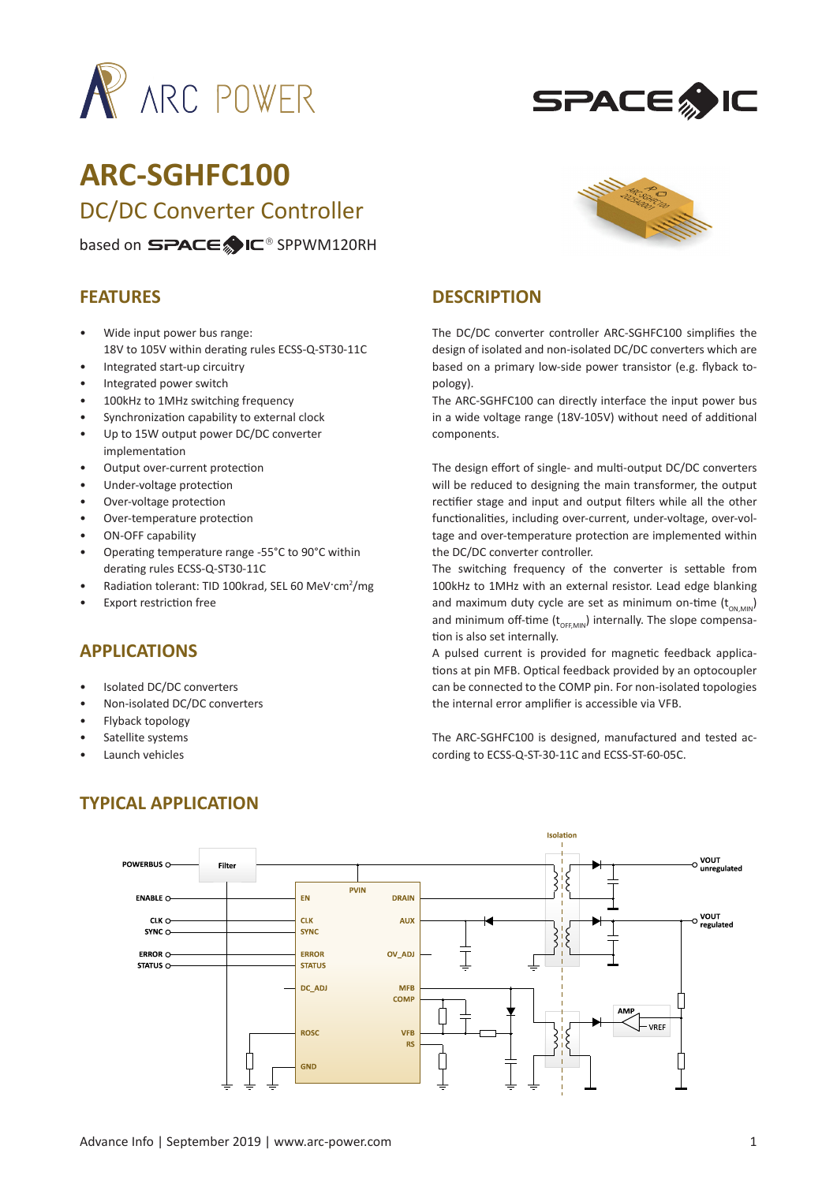



# **ARC-SGHFC100** DC/DC Converter Controller

#### based on SPACE IC<sup>®</sup> SPPWM120RH

#### **FEATURES**

- Wide input power bus range: 18V to 105V within derating rules ECSS-Q-ST30-11C
- Integrated start-up circuitry
- Integrated power switch
- 100kHz to 1MHz switching frequency
- Synchronization capability to external clock
- Up to 15W output power DC/DC converter implementation
- Output over-current protection
- Under-voltage protection
- Over-voltage protection
- Over-temperature protection
- ON-OFF capability
- Operating temperature range -55°C to 90°C within derating rules ECSS-Q-ST30-11C
- Radiation tolerant: TID 100krad, SEL 60 MeV·cm<sup>2</sup>/mg
- **Export restriction free**

## **APPLICATIONS**

- Isolated DC/DC converters
- Non-isolated DC/DC converters
- Flyback topology
- Satellite systems
- Launch vehicles



#### **DESCRIPTION**

The DC/DC converter controller ARC-SGHFC100 simplifies the design of isolated and non-isolated DC/DC converters which are based on a primary low-side power transistor (e.g. flyback topology).

The ARC-SGHFC100 can directly interface the input power bus in a wide voltage range (18V-105V) without need of additional components.

The design effort of single- and multi-output DC/DC converters will be reduced to designing the main transformer, the output rectifier stage and input and output filters while all the other functionalities, including over-current, under-voltage, over-voltage and over-temperature protection are implemented within the DC/DC converter controller.

The switching frequency of the converter is settable from 100kHz to 1MHz with an external resistor. Lead edge blanking and maximum duty cycle are set as minimum on-time  $(t_{ON,MIN})$ and minimum off-time  $(t_{\text{OFFMM}})$  internally. The slope compensation is also set internally.

A pulsed current is provided for magnetic feedback applications at pin MFB. Optical feedback provided by an optocoupler can be connected to the COMP pin. For non-isolated topologies the internal error amplifier is accessible via VFB.

The ARC-SGHFC100 is designed, manufactured and tested according to ECSS-Q-ST-30-11C and ECSS-ST-60-05C.



## **TYPICAL APPLICATION**